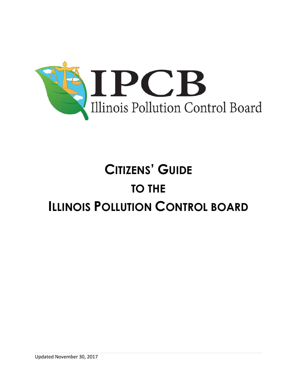

# **CITIZENS' GUIDE TO THE ILLINOIS POLLUTION CONTROL BOARD**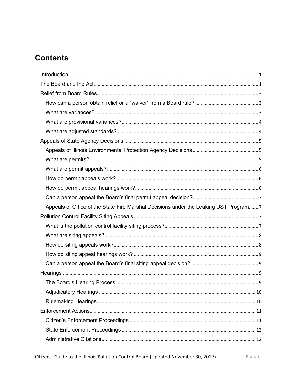# **Contents**

| Appeals of Office of the State Fire Marshal Decisions under the Leaking UST Program7 |
|--------------------------------------------------------------------------------------|
|                                                                                      |
|                                                                                      |
|                                                                                      |
|                                                                                      |
|                                                                                      |
|                                                                                      |
|                                                                                      |
|                                                                                      |
|                                                                                      |
|                                                                                      |
|                                                                                      |
|                                                                                      |
|                                                                                      |
|                                                                                      |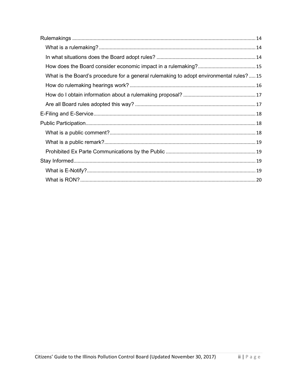| What is the Board's procedure for a general rulemaking to adopt environmental rules? 15 |  |
|-----------------------------------------------------------------------------------------|--|
|                                                                                         |  |
|                                                                                         |  |
|                                                                                         |  |
|                                                                                         |  |
|                                                                                         |  |
|                                                                                         |  |
|                                                                                         |  |
|                                                                                         |  |
|                                                                                         |  |
|                                                                                         |  |
|                                                                                         |  |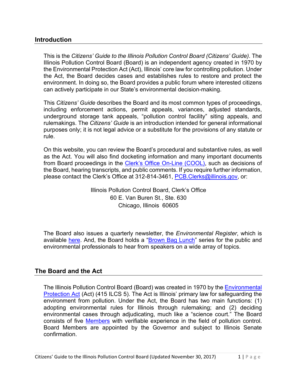# <span id="page-3-0"></span>**Introduction**

This is the *Citizens' Guide to the Illinois Pollution Control Board (Citizens' Guide)*. The Illinois Pollution Control Board (Board) is an independent agency created in 1970 by the Environmental Protection Act (Act), Illinois' core law for controlling pollution. Under the Act, the Board decides cases and establishes rules to restore and protect the environment. In doing so, the Board provides a public forum where interested citizens can actively participate in our State's environmental decision-making.

This *Citizens' Guide* describes the Board and its most common types of proceedings, including enforcement actions, permit appeals, variances, adjusted standards, underground storage tank appeals, "pollution control facility" siting appeals, and rulemakings. The *Citizens' Guide* is an introduction intended for general informational purposes only; it is not legal advice or a substitute for the provisions of any statute or rule.

On this website, you can review the Board's procedural and substantive rules, as well as the Act. You will also find docketing information and many important documents from Board proceedings in the [Clerk's Office On-Line \(COOL\),](https://pcb.illinois.gov/ClerksOffice/SearchCases) such as decisions of the Board, hearing transcripts, and public comments. If you require further information, please contact the Clerk's Office at 312-814-3461, [PCB.Clerks@illinois.gov,](mailto:PCB.Clerks@illinois.gov) or:

> Illinois Pollution Control Board, Clerk's Office 60 E. Van Buren St., Ste. 630 Chicago, Illinois 60605

The Board also issues a quarterly newsletter, the *Environmental Register*, which is available [here.](https://pcb.illinois.gov/Resources/EnvironmentalRegister) And, the Board holds a ["Brown Bag Lunch"](https://pcb.illinois.gov/Resources/BrownBagLunches) series for the public and environmental professionals to hear from speakers on a wide array of topics.

# <span id="page-3-1"></span>**The Board and the Act**

The Illinois Pollution Control Board (Board) was created in 1970 by the [Environmental](https://pcb.illinois.gov/SLR/TheEnvironmentalProtectionAct)  [Protection Act](https://pcb.illinois.gov/SLR/TheEnvironmentalProtectionAct) (Act) (415 ILCS 5). The Act is Illinois' primary law for safeguarding the environment from pollution. Under the Act, the Board has two main functions: (1) adopting environmental rules for Illinois through rulemaking; and (2) deciding environmental cases through adjudicating, much like a "science court." The Board consists of five [Members](https://pcb.illinois.gov/AboutIPCB/AboutBoardMembers) with verifiable experience in the field of pollution control. Board Members are appointed by the Governor and subject to Illinois Senate confirmation.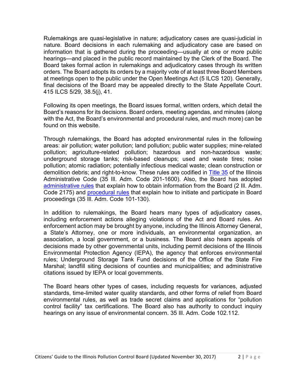Rulemakings are quasi-legislative in nature; adjudicatory cases are quasi-judicial in nature. Board decisions in each rulemaking and adjudicatory case are based on information that is gathered during the proceeding—usually at one or more public hearings—and placed in the public record maintained by the Clerk of the Board. The Board takes formal action in rulemakings and adjudicatory cases through its written orders. The Board adopts its orders by a majority vote of at least three Board Members at meetings open to the public under the Open Meetings Act (5 ILCS 120). Generally, final decisions of the Board may be appealed directly to the State Appellate Court. 415 ILCS 5/29, 38.5(j), 41.

Following its open meetings, the Board issues formal, written orders, which detail the Board's reasons for its decisions. Board orders, meeting agendas, and minutes (along with the Act, the Board's environmental and procedural rules, and much more) can be found on this website.

Through rulemakings, the Board has adopted environmental rules in the following areas: air pollution; water pollution; land pollution; public water supplies; mine-related pollution; agriculture-related pollution; hazardous and non-hazardous waste; underground storage tanks; risk-based cleanups; used and waste tires; noise pollution; atomic radiation; potentially infectious medical waste; clean construction or demolition debris; and right-to-know. These rules are codified in [Title 35](https://pcb.illinois.gov/SLR/IPCBandIEPAEnvironmentalRegulationsTitle35) of the Illinois Administrative Code (35 Ill. Adm. Code 201-1600). Also, the Board has adopted [administrative rules](https://pcb.illinois.gov/SLR/BoardProceduralandAdministrativeRules) that explain how to obtain information from the Board (2 III. Adm. Code 2175) and [procedural rules](https://pcb.illinois.gov/SLR/IPCBandIEPAEnvironmentalRegulationsTitle35) that explain how to initiate and participate in Board proceedings (35 Ill. Adm. Code 101-130).

In addition to rulemakings, the Board hears many types of adjudicatory cases, including enforcement actions alleging violations of the Act and Board rules. An enforcement action may be brought by anyone, including the Illinois Attorney General, a State's Attorney, one or more individuals, an environmental organization, an association, a local government, or a business. The Board also hears appeals of decisions made by other governmental units, including permit decisions of the Illinois Environmental Protection Agency (IEPA), the agency that enforces environmental rules; Underground Storage Tank Fund decisions of the Office of the State Fire Marshal; landfill siting decisions of counties and municipalities; and administrative citations issued by IEPA or local governments.

The Board hears other types of cases, including requests for variances, adjusted standards, time-limited water quality standards, and other forms of relief from Board environmental rules, as well as trade secret claims and applications for "pollution control facility" tax certifications. The Board also has authority to conduct inquiry hearings on any issue of environmental concern. 35 Ill. Adm. Code 102.112.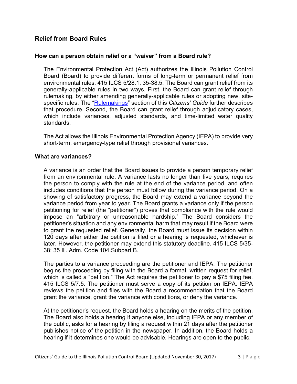# <span id="page-5-1"></span><span id="page-5-0"></span>**How can a person obtain relief or a "waiver" from a Board rule?**

The Environmental Protection Act (Act) authorizes the Illinois Pollution Control Board (Board) to provide different forms of long-term or permanent relief from environmental rules. 415 ILCS 5/28.1, 35-38.5. The Board can grant relief from its generally-applicable rules in two ways. First, the Board can grant relief through rulemaking, by either amending generally-applicable rules or adopting new, sitespecific rules. The ["Rulemakings"](#page-16-3) section of this *Citizens' Guide* further describes that procedure. Second, the Board can grant relief through adjudicatory cases, which include variances, adjusted standards, and time-limited water quality standards.

The Act allows the Illinois Environmental Protection Agency (IEPA) to provide very short-term, emergency-type relief through provisional variances.

#### <span id="page-5-2"></span>**What are variances?**

A variance is an order that the Board issues to provide a person temporary relief from an environmental rule. A variance lasts no longer than five years, requires the person to comply with the rule at the end of the variance period, and often includes conditions that the person must follow during the variance period. On a showing of satisfactory progress, the Board may extend a variance beyond the variance period from year to year. The Board grants a variance only if the person petitioning for relief (the "petitioner") proves that compliance with the rule would impose an "arbitrary or unreasonable hardship." The Board considers the petitioner's situation and any environmental harm that may result if the Board were to grant the requested relief. Generally, the Board must issue its decision within 120 days after either the petition is filed or a hearing is requested, whichever is later. However, the petitioner may extend this statutory deadline. 415 ILCS 5/35- 38; 35 Ill. Adm. Code 104.Subpart B.

The parties to a variance proceeding are the petitioner and IEPA. The petitioner begins the proceeding by filing with the Board a formal, written request for relief, which is called a "petition." The Act requires the petitioner to pay a \$75 filing fee. 415 ILCS 5/7.5. The petitioner must serve a copy of its petition on IEPA. IEPA reviews the petition and files with the Board a recommendation that the Board grant the variance, grant the variance with conditions, or deny the variance.

At the petitioner's request, the Board holds a hearing on the merits of the petition. The Board also holds a hearing if anyone else, including IEPA or any member of the public, asks for a hearing by filing a request within 21 days after the petitioner publishes notice of the petition in the newspaper. In addition, the Board holds a hearing if it determines one would be advisable. Hearings are open to the public.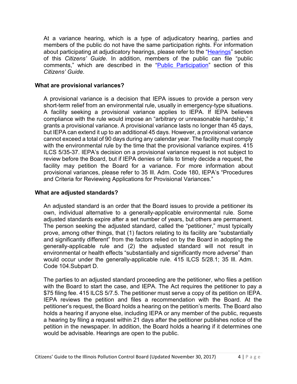At a variance hearing, which is a type of adjudicatory hearing, parties and members of the public do not have the same participation rights. For information about participating at adjudicatory hearings, please refer to the ["Hearings"](#page-11-4) section of this *Citizens' Guide*. In addition, members of the public can file "public comments," which are described in the ["Public Participation"](#page-20-1) section of this *Citizens' Guide*.

#### <span id="page-6-0"></span>**What are provisional variances?**

A provisional variance is a decision that IEPA issues to provide a person very short-term relief from an environmental rule, usually in emergency-type situations. A facility seeking a provisional variance applies to IEPA. If IEPA believes compliance with the rule would impose an "arbitrary or unreasonable hardship," it grants a provisional variance. A provisional variance lasts no longer than 45 days, but IEPA can extend it up to an additional 45 days. However, a provisional variance cannot exceed a total of 90 days during any calendar year. The facility must comply with the environmental rule by the time that the provisional variance expires. 415 ILCS 5/35-37. IEPA's decision on a provisional variance request is not subject to review before the Board, but if IEPA denies or fails to timely decide a request, the facility may petition the Board for a variance. For more information about provisional variances, please refer to 35 Ill. Adm. Code 180, IEPA's "Procedures and Criteria for Reviewing Applications for Provisional Variances."

#### <span id="page-6-1"></span>**What are adjusted standards?**

An adjusted standard is an order that the Board issues to provide a petitioner its own, individual alternative to a generally-applicable environmental rule. Some adjusted standards expire after a set number of years, but others are permanent. The person seeking the adjusted standard, called the "petitioner," must typically prove, among other things, that (1) factors relating to its facility are "substantially and significantly different" from the factors relied on by the Board in adopting the generally-applicable rule and (2) the adjusted standard will not result in environmental or health effects "substantially and significantly more adverse" than would occur under the generally-applicable rule. 415 ILCS 5/28.1; 35 Ill. Adm. Code 104.Subpart D.

The parties to an adjusted standard proceeding are the petitioner, who files a petition with the Board to start the case, and IEPA. The Act requires the petitioner to pay a \$75 filing fee. 415 ILCS 5/7.5. The petitioner must serve a copy of its petition on IEPA. IEPA reviews the petition and files a recommendation with the Board. At the petitioner's request, the Board holds a hearing on the petition's merits. The Board also holds a hearing if anyone else, including IEPA or any member of the public, requests a hearing by filing a request within 21 days after the petitioner publishes notice of the petition in the newspaper. In addition, the Board holds a hearing if it determines one would be advisable. Hearings are open to the public.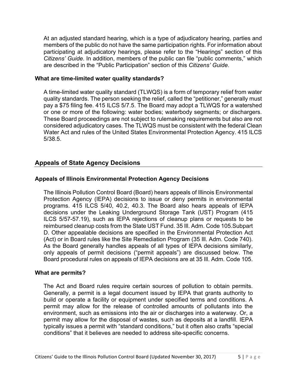At an adjusted standard hearing, which is a type of adjudicatory hearing, parties and members of the public do not have the same participation rights. For information about participating at adjudicatory hearings, please refer to the "Hearings" section of this *Citizens' Guide*. In addition, members of the public can file "public comments," which are described in the "Public Participation" section of this *Citizens' Guide*.

#### **What are time-limited water quality standards?**

A time-limited water quality standard (TLWQS) is a form of temporary relief from water quality standards. The person seeking the relief, called the "petitioner," generally must pay a \$75 filing fee. 415 ILCS 5/7.5. The Board may adopt a TLWQS for a watershed or one or more of the following: water bodies; waterbody segments; or dischargers. These Board proceedings are not subject to rulemaking requirements but also are not considered adjudicatory cases. The TLWQS must be consistent with the federal Clean Water Act and rules of the United States Environmental Protection Agency. 415 ILCS 5/38.5.

# <span id="page-7-0"></span>**Appeals of State Agency Decisions**

# <span id="page-7-1"></span>**Appeals of Illinois Environmental Protection Agency Decisions**

The Illinois Pollution Control Board (Board) hears appeals of Illinois Environmental Protection Agency (IEPA) decisions to issue or deny permits in environmental programs. 415 ILCS 5/40, 40.2, 40.3. The Board also hears appeals of IEPA decisions under the Leaking Underground Storage Tank (UST) Program (415 ILCS 5/57-57.19), such as IEPA rejections of cleanup plans or requests to be reimbursed cleanup costs from the State UST Fund. 35 Ill. Adm. Code 105.Subpart D. Other appealable decisions are specified in the Environmental Protection Act (Act) or in Board rules like the Site Remediation Program (35 Ill. Adm. Code 740). As the Board generally handles appeals of all types of IEPA decisions similarly, only appeals of permit decisions ("permit appeals") are discussed below. The Board procedural rules on appeals of IEPA decisions are at 35 Ill. Adm. Code 105.

#### <span id="page-7-2"></span>**What are permits?**

The Act and Board rules require certain sources of pollution to obtain permits. Generally, a permit is a legal document issued by IEPA that grants authority to build or operate a facility or equipment under specified terms and conditions. A permit may allow for the release of controlled amounts of pollutants into the environment, such as emissions into the air or discharges into a waterway. Or, a permit may allow for the disposal of wastes, such as deposits at a landfill. IEPA typically issues a permit with "standard conditions," but it often also crafts "special conditions" that it believes are needed to address site-specific concerns.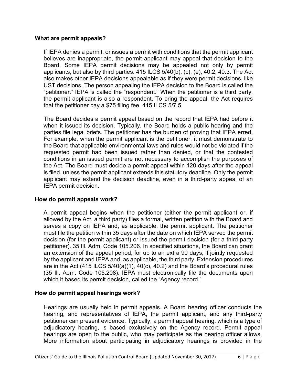#### <span id="page-8-0"></span>**What are permit appeals?**

If IEPA denies a permit, or issues a permit with conditions that the permit applicant believes are inappropriate, the permit applicant may appeal that decision to the Board. Some IEPA permit decisions may be appealed not only by permit applicants, but also by third parties. 415 ILCS 5/40(b), (c), (e), 40.2, 40.3. The Act also makes other IEPA decisions appealable as if they were permit decisions, like UST decisions. The person appealing the IEPA decision to the Board is called the "petitioner." IEPA is called the "respondent." When the petitioner is a third party, the permit applicant is also a respondent. To bring the appeal, the Act requires that the petitioner pay a \$75 filing fee. 415 ILCS 5/7.5.

The Board decides a permit appeal based on the record that IEPA had before it when it issued its decision. Typically, the Board holds a public hearing and the parties file legal briefs. The petitioner has the burden of proving that IEPA erred. For example, when the permit applicant is the petitioner, it must demonstrate to the Board that applicable environmental laws and rules would not be violated if the requested permit had been issued rather than denied, or that the contested conditions in an issued permit are not necessary to accomplish the purposes of the Act. The Board must decide a permit appeal within 120 days after the appeal is filed, unless the permit applicant extends this statutory deadline. Only the permit applicant may extend the decision deadline, even in a third-party appeal of an IEPA permit decision.

# <span id="page-8-1"></span>**How do permit appeals work?**

A permit appeal begins when the petitioner (either the permit applicant or, if allowed by the Act, a third party) files a formal, written petition with the Board and serves a copy on IEPA and, as applicable, the permit applicant. The petitioner must file the petition within 35 days after the date on which IEPA served the permit decision (for the permit applicant) or issued the permit decision (for a third-party petitioner). 35 Ill. Adm. Code 105.206. In specified situations, the Board can grant an extension of the appeal period, for up to an extra 90 days, if jointly requested by the applicant and IEPA and, as applicable, the third party. Extension procedures are in the Act (415 ILCS 5/40(a)(1), 40(c), 40.2) and the Board's procedural rules (35 Ill. Adm. Code 105.208). IEPA must electronically file the documents upon which it based its permit decision, called the "Agency record."

# <span id="page-8-2"></span>**How do permit appeal hearings work?**

Hearings are usually held in permit appeals. A Board hearing officer conducts the hearing, and representatives of IEPA, the permit applicant, and any third-party petitioner can present evidence. Typically, a permit appeal hearing, which is a type of adjudicatory hearing, is based exclusively on the Agency record. Permit appeal hearings are open to the public, who may participate as the hearing officer allows. More information about participating in adjudicatory hearings is provided in the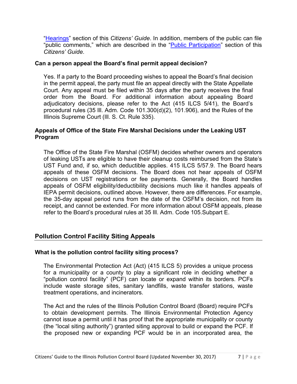["Hearings"](#page-11-4) section of this *Citizens' Guide*. In addition, members of the public can file "public comments," which are described in the ["Public Participation"](#page-20-1) section of this *Citizens' Guide*.

# <span id="page-9-0"></span>**Can a person appeal the Board's final permit appeal decision?**

Yes. If a party to the Board proceeding wishes to appeal the Board's final decision in the permit appeal, the party must file an appeal directly with the State Appellate Court. Any appeal must be filed within 35 days after the party receives the final order from the Board. For additional information about appealing Board adjudicatory decisions, please refer to the Act (415 ILCS 5/41), the Board's procedural rules (35 Ill. Adm. Code 101.300(d)(2), 101.906), and the Rules of the Illinois Supreme Court (Ill. S. Ct. Rule 335).

#### <span id="page-9-1"></span>**Appeals of Office of the State Fire Marshal Decisions under the Leaking UST Program**

The Office of the State Fire Marshal (OSFM) decides whether owners and operators of leaking USTs are eligible to have their cleanup costs reimbursed from the State's UST Fund and, if so, which deductible applies. 415 ILCS 5/57.9. The Board hears appeals of these OSFM decisions. The Board does not hear appeals of OSFM decisions on UST registrations or fee payments. Generally, the Board handles appeals of OSFM eligibility/deductibility decisions much like it handles appeals of IEPA permit decisions, outlined above. However, there are differences. For example, the 35-day appeal period runs from the date of the OSFM's decision, not from its receipt, and cannot be extended. For more information about OSFM appeals, please refer to the Board's procedural rules at 35 Ill. Adm. Code 105.Subpart E.

# <span id="page-9-2"></span>**Pollution Control Facility Siting Appeals**

# <span id="page-9-3"></span>**What is the pollution control facility siting process?**

The Environmental Protection Act (Act) (415 ILCS 5) provides a unique process for a municipality or a county to play a significant role in deciding whether a "pollution control facility" (PCF) can locate or expand within its borders. PCFs include waste storage sites, sanitary landfills, waste transfer stations, waste treatment operations, and incinerators.

The Act and the rules of the Illinois Pollution Control Board (Board) require PCFs to obtain development permits. The Illinois Environmental Protection Agency cannot issue a permit until it has proof that the appropriate municipality or county (the "local siting authority") granted siting approval to build or expand the PCF. If the proposed new or expanding PCF would be in an incorporated area, the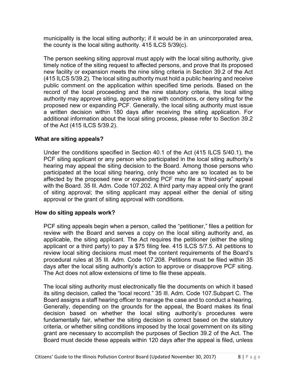municipality is the local siting authority; if it would be in an unincorporated area, the county is the local siting authority. 415 ILCS 5/39(c).

The person seeking siting approval must apply with the local siting authority, give timely notice of the siting request to affected persons, and prove that its proposed new facility or expansion meets the nine siting criteria in Section 39.2 of the Act (415 ILCS 5/39.2). The local siting authority must hold a public hearing and receive public comment on the application within specified time periods. Based on the record of the local proceeding and the nine statutory criteria, the local siting authority may approve siting, approve siting with conditions, or deny siting for the proposed new or expanding PCF. Generally, the local siting authority must issue a written decision within 180 days after receiving the siting application. For additional information about the local siting process, please refer to Section 39.2 of the Act (415 ILCS 5/39.2).

#### <span id="page-10-0"></span>**What are siting appeals?**

Under the conditions specified in Section 40.1 of the Act (415 ILCS 5/40.1), the PCF siting applicant or any person who participated in the local siting authority's hearing may appeal the siting decision to the Board. Among those persons who participated at the local siting hearing, only those who are so located as to be affected by the proposed new or expanding PCF may file a "third-party" appeal with the Board. 35 Ill. Adm. Code 107.202. A third party may appeal only the grant of siting approval; the siting applicant may appeal either the denial of siting approval or the grant of siting approval with conditions.

#### <span id="page-10-1"></span>**How do siting appeals work?**

PCF siting appeals begin when a person, called the "petitioner," files a petition for review with the Board and serves a copy on the local siting authority and, as applicable, the siting applicant. The Act requires the petitioner (either the siting applicant or a third party) to pay a \$75 filing fee. 415 ILCS 5/7.5. All petitions to review local siting decisions must meet the content requirements of the Board's procedural rules at 35 Ill. Adm. Code 107.208. Petitions must be filed within 35 days after the local siting authority's action to approve or disapprove PCF siting. The Act does not allow extensions of time to file these appeals.

The local siting authority must electronically file the documents on which it based its siting decision, called the "local record." 35 Ill. Adm. Code 107.Subpart C. The Board assigns a staff hearing officer to manage the case and to conduct a hearing. Generally, depending on the grounds for the appeal, the Board makes its final decision based on whether the local siting authority's procedures were fundamentally fair, whether the siting decision is correct based on the statutory criteria, or whether siting conditions imposed by the local government on its siting grant are necessary to accomplish the purposes of Section 39.2 of the Act. The Board must decide these appeals within 120 days after the appeal is filed, unless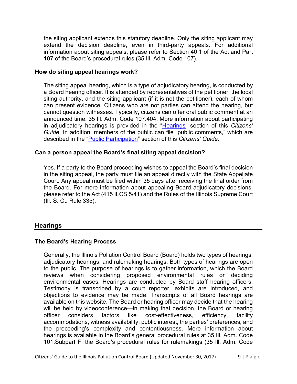the siting applicant extends this statutory deadline. Only the siting applicant may extend the decision deadline, even in third-party appeals. For additional information about siting appeals, please refer to Section 40.1 of the Act and Part 107 of the Board's procedural rules (35 Ill. Adm. Code 107).

# <span id="page-11-0"></span>**How do siting appeal hearings work?**

The siting appeal hearing, which is a type of adjudicatory hearing, is conducted by a Board hearing officer. It is attended by representatives of the petitioner, the local siting authority, and the siting applicant (if it is not the petitioner), each of whom can present evidence. Citizens who are not parties can attend the hearing, but cannot question witnesses. Typically, citizens can offer oral public comment at an announced time. 35 Ill. Adm. Code 107.404. More information about participating in adjudicatory hearings is provided in the ["Hearings"](#page-11-4) section of this *Citizens' Guide*. In addition, members of the public can file "public comments," which are described in the ["Public Participation"](#page-20-1) section of this *Citizens' Guide*.

#### <span id="page-11-1"></span>**Can a person appeal the Board's final siting appeal decision?**

Yes. If a party to the Board proceeding wishes to appeal the Board's final decision in the siting appeal, the party must file an appeal directly with the State Appellate Court. Any appeal must be filed within 35 days after receiving the final order from the Board. For more information about appealing Board adjudicatory decisions, please refer to the Act (415 ILCS 5/41) and the Rules of the Illinois Supreme Court (Ill. S. Ct. Rule 335).

# <span id="page-11-4"></span><span id="page-11-2"></span>**Hearings**

# <span id="page-11-3"></span>**The Board's Hearing Process**

Generally, the Illinois Pollution Control Board (Board) holds two types of hearings: adjudicatory hearings; and rulemaking hearings. Both types of hearings are open to the public. The purpose of hearings is to gather information, which the Board reviews when considering proposed environmental rules or deciding environmental cases. Hearings are conducted by Board staff hearing officers. Testimony is transcribed by a court reporter, exhibits are introduced, and objections to evidence may be made. Transcripts of all Board hearings are available on this website. The Board or hearing officer may decide that the hearing will be held by videoconference—in making that decision, the Board or hearing officer considers factors like cost-effectiveness, efficiency, facility accommodations, witness availability, public interest, the parties' preferences, and the proceeding's complexity and contentiousness. More information about hearings is available in the Board's general procedural rules at 35 Ill. Adm. Code 101.Subpart F, the Board's procedural rules for rulemakings (35 Ill. Adm. Code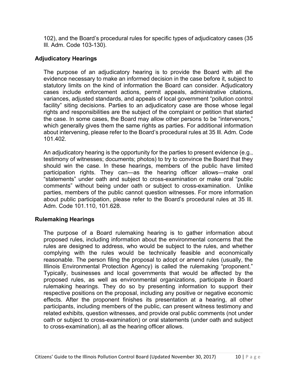102), and the Board's procedural rules for specific types of adjudicatory cases (35 Ill. Adm. Code 103-130).

# <span id="page-12-0"></span>**Adjudicatory Hearings**

The purpose of an adjudicatory hearing is to provide the Board with all the evidence necessary to make an informed decision in the case before it, subject to statutory limits on the kind of information the Board can consider. Adjudicatory cases include enforcement actions, permit appeals, administrative citations, variances, adjusted standards, and appeals of local government "pollution control facility" siting decisions. Parties to an adjudicatory case are those whose legal rights and responsibilities are the subject of the complaint or petition that started the case. In some cases, the Board may allow other persons to be "intervenors," which generally gives them the same rights as parties. For additional information about intervening, please refer to the Board's procedural rules at 35 Ill. Adm. Code 101.402.

An adjudicatory hearing is the opportunity for the parties to present evidence (e.g., testimony of witnesses; documents; photos) to try to convince the Board that they should win the case. In these hearings, members of the public have limited participation rights. They can—as the hearing officer allows—make oral "statements" under oath and subject to cross-examination or make oral "public comments" without being under oath or subject to cross-examination. Unlike parties, members of the public cannot question witnesses. For more information about public participation, please refer to the Board's procedural rules at 35 Ill. Adm. Code 101.110, 101.628.

# <span id="page-12-1"></span>**Rulemaking Hearings**

The purpose of a Board rulemaking hearing is to gather information about proposed rules, including information about the environmental concerns that the rules are designed to address, who would be subject to the rules, and whether complying with the rules would be technically feasible and economically reasonable. The person filing the proposal to adopt or amend rules (usually, the Illinois Environmental Protection Agency) is called the rulemaking "proponent." Typically, businesses and local governments that would be affected by the proposed rules, as well as environmental organizations, participate in Board rulemaking hearings. They do so by presenting information to support their respective positions on the proposal, including any positive or negative economic effects. After the proponent finishes its presentation at a hearing, all other participants, including members of the public, can present witness testimony and related exhibits, question witnesses, and provide oral public comments (not under oath or subject to cross-examination) or oral statements (under oath and subject to cross-examination), all as the hearing officer allows.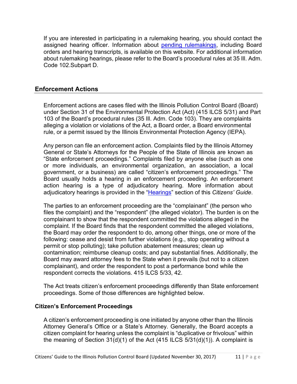If you are interested in participating in a rulemaking hearing, you should contact the assigned hearing officer. Information about [pending rulemakings,](https://pcb.illinois.gov/ClerksOffice/PendingRulemakings) including Board orders and hearing transcripts, is available on this website. For additional information about rulemaking hearings, please refer to the Board's procedural rules at 35 Ill. Adm. Code 102.Subpart D.

# <span id="page-13-0"></span>**Enforcement Actions**

Enforcement actions are cases filed with the Illinois Pollution Control Board (Board) under Section 31 of the Environmental Protection Act (Act) (415 ILCS 5/31) and Part 103 of the Board's procedural rules (35 Ill. Adm. Code 103). They are complaints alleging a violation or violations of the Act, a Board order, a Board environmental rule, or a permit issued by the Illinois Environmental Protection Agency (IEPA).

Any person can file an enforcement action. Complaints filed by the Illinois Attorney General or State's Attorneys for the People of the State of Illinois are known as "State enforcement proceedings." Complaints filed by anyone else (such as one or more individuals, an environmental organization, an association, a local government, or a business) are called "citizen's enforcement proceedings." The Board usually holds a hearing in an enforcement proceeding. An enforcement action hearing is a type of adjudicatory hearing. More information about adjudicatory hearings is provided in the ["Hearings"](#page-11-4) section of this *Citizens' Guide*.

The parties to an enforcement proceeding are the "complainant" (the person who files the complaint) and the "respondent" (the alleged violator). The burden is on the complainant to show that the respondent committed the violations alleged in the complaint. If the Board finds that the respondent committed the alleged violations, the Board may order the respondent to do, among other things, one or more of the following: cease and desist from further violations (e.g., stop operating without a permit or stop polluting); take pollution abatement measures; clean up contamination; reimburse cleanup costs; and pay substantial fines. Additionally, the Board may award attorney fees to the State when it prevails (but not to a citizen complainant), and order the respondent to post a performance bond while the respondent corrects the violations. 415 ILCS 5/33, 42.

The Act treats citizen's enforcement proceedings differently than State enforcement proceedings. Some of those differences are highlighted below.

#### <span id="page-13-1"></span>**Citizen's Enforcement Proceedings**

A citizen's enforcement proceeding is one initiated by anyone other than the Illinois Attorney General's Office or a State's Attorney. Generally, the Board accepts a citizen complaint for hearing unless the complaint is "duplicative or frivolous" within the meaning of Section  $31(d)(1)$  of the Act (415 ILCS  $5/31(d)(1)$ ). A complaint is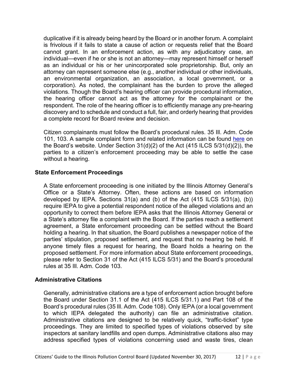duplicative if it is already being heard by the Board or in another forum. A complaint is frivolous if it fails to state a cause of action or requests relief that the Board cannot grant. In an enforcement action, as with any adjudicatory case, an individual—even if he or she is not an attorney—may represent himself or herself as an individual or his or her unincorporated sole proprietorship. But, only an attorney can represent someone else (e.g., another individual or other individuals, an environmental organization, an association, a local government, or a corporation). As noted, the complainant has the burden to prove the alleged violations. Though the Board's hearing officer can provide procedural information, the hearing officer cannot act as the attorney for the complainant or the respondent. The role of the hearing officer is to efficiently manage any pre-hearing discovery and to schedule and conduct a full, fair, and orderly hearing that provides a complete record for Board review and decision.

Citizen complainants must follow the Board's procedural rules. 35 Ill. Adm. Code 101, 103. A sample complaint form and related information can be found [here](https://pcb.illinois.gov/Resources/Complaintforms) on the Board's website. Under Section 31(d)(2) of the Act (415 ILCS 5/31(d)(2)), the parties to a citizen's enforcement proceeding may be able to settle the case without a hearing.

# <span id="page-14-0"></span>**State Enforcement Proceedings**

A State enforcement proceeding is one initiated by the Illinois Attorney General's Office or a State's Attorney. Often, these actions are based on information developed by IEPA. Sections 31(a) and (b) of the Act (415 ILCS 5/31(a), (b)) require IEPA to give a potential respondent notice of the alleged violations and an opportunity to correct them before IEPA asks that the Illinois Attorney General or a State's attorney file a complaint with the Board. If the parties reach a settlement agreement, a State enforcement proceeding can be settled without the Board holding a hearing. In that situation, the Board publishes a newspaper notice of the parties' stipulation, proposed settlement, and request that no hearing be held. If anyone timely files a request for hearing, the Board holds a hearing on the proposed settlement. For more information about State enforcement proceedings, please refer to Section 31 of the Act (415 ILCS 5/31) and the Board's procedural rules at 35 Ill. Adm. Code 103.

# <span id="page-14-1"></span>**Administrative Citations**

Generally, administrative citations are a type of enforcement action brought before the Board under Section 31.1 of the Act (415 ILCS 5/31.1) and Part 108 of the Board's procedural rules (35 Ill. Adm. Code 108). Only IEPA (or a local government to which IEPA delegated the authority) can file an administrative citation. Administrative citations are designed to be relatively quick, "traffic-ticket" type proceedings. They are limited to specified types of violations observed by site inspectors at sanitary landfills and open dumps. Administrative citations also may address specified types of violations concerning used and waste tires, clean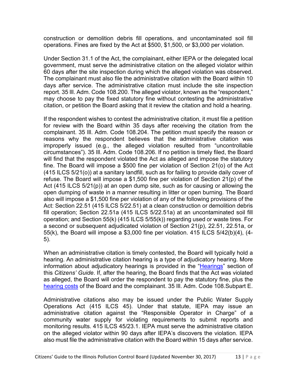construction or demolition debris fill operations, and uncontaminated soil fill operations. Fines are fixed by the Act at \$500, \$1,500, or \$3,000 per violation.

Under Section 31.1 of the Act, the complainant, either IEPA or the delegated local government, must serve the administrative citation on the alleged violator within 60 days after the site inspection during which the alleged violation was observed. The complainant must also file the administrative citation with the Board within 10 days after service. The administrative citation must include the site inspection report. 35 Ill. Adm. Code 108.200. The alleged violator, known as the "respondent," may choose to pay the fixed statutory fine without contesting the administrative citation, or petition the Board asking that it review the citation and hold a hearing.

If the respondent wishes to contest the administrative citation, it must file a petition for review with the Board within 35 days after receiving the citation from the complainant. 35 Ill. Adm. Code 108.204. The petition must specify the reason or reasons why the respondent believes that the administrative citation was improperly issued (e.g., the alleged violation resulted from "uncontrollable circumstances"). 35 Ill. Adm. Code 108.206. If no petition is timely filed, the Board will find that the respondent violated the Act as alleged and impose the statutory fine. The Board will impose a \$500 fine per violation of Section 21(o) of the Act (415 ILCS 5/21(o)) at a sanitary landfill, such as for failing to provide daily cover of refuse. The Board will impose a \$1,500 fine per violation of Section 21(p) of the Act (415 ILCS 5/21(p)) at an open dump site, such as for causing or allowing the open dumping of waste in a manner resulting in litter or open burning. The Board also will impose a \$1,500 fine per violation of any of the following provisions of the Act: Section 22.51 (415 ILCS 5/22.51) at a clean construction or demolition debris fill operation; Section 22.51a (415 ILCS 5/22.51a) at an uncontaminated soil fill operation; and Section 55(k) (415 ILCS 5/55(k)) regarding used or waste tires. For a second or subsequent adjudicated violation of Section 21(p), 22.51, 22.51a, or 55(k), the Board will impose a \$3,000 fine per violation. 415 ILCS 5/42(b)(4), (4- 5).

When an administrative citation is timely contested, the Board will typically hold a hearing. An administrative citation hearing is a type of adjudicatory hearing. More information about adjudicatory hearings is provided in the ["Hearings"](#page-11-4) section of this *Citizens' Guide*. If, after the hearing, the Board finds that the Act was violated as alleged, the Board will order the respondent to pay the statutory fine, plus the [hearing costs](https://pcb.illinois.gov/ClerksOffice/HearingCosts) of the Board and the complainant. 35 Ill. Adm. Code 108.Subpart E.

Administrative citations also may be issued under the Public Water Supply Operations Act (415 ILCS 45). Under that statute, IEPA may issue an administrative citation against the "Responsible Operator in Charge" of a community water supply for violating requirements to submit reports and monitoring results. 415 ILCS 45/23.1. IEPA must serve the administrative citation on the alleged violator within 90 days after IEPA's discovers the violation. IEPA also must file the administrative citation with the Board within 15 days after service.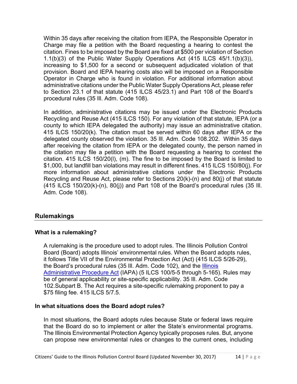Within 35 days after receiving the citation from IEPA, the Responsible Operator in Charge may file a petition with the Board requesting a hearing to contest the citation. Fines to be imposed by the Board are fixed at \$500 per violation of Section 1.1(b)(3) of the Public Water Supply Operations Act (415 ILCS 45/1.1(b)(3)), increasing to \$1,500 for a second or subsequent adjudicated violation of that provision. Board and IEPA hearing costs also will be imposed on a Responsible Operator in Charge who is found in violation. For additional information about administrative citations under the Public Water Supply Operations Act, please refer to Section 23.1 of that statute (415 ILCS 45/23.1) and Part 108 of the Board's procedural rules (35 Ill. Adm. Code 108).

In addition, administrative citations may be issued under the Electronic Products Recycling and Reuse Act (415 ILCS 150). For any violation of that statute, IEPA (or a county to which IEPA delegated the authority) may issue an administrative citation. 415 ILCS 150/20(k). The citation must be served within 60 days after IEPA or the delegated county observed the violation. 35 Ill. Adm. Code 108.202. Within 35 days after receiving the citation from IEPA or the delegated county, the person named in the citation may file a petition with the Board requesting a hearing to contest the citation. 415 ILCS 150/20(l), (m). The fine to be imposed by the Board is limited to \$1,000, but landfill ban violations may result in different fines. 415 ILCS 150/80(j). For more information about administrative citations under the Electronic Products Recycling and Reuse Act, please refer to Sections 20(k)-(n) and 80(j) of that statute (415 ILCS 150/20(k)-(n), 80(j)) and Part 108 of the Board's procedural rules (35 Ill. Adm. Code 108).

# <span id="page-16-3"></span><span id="page-16-0"></span>**Rulemakings**

#### <span id="page-16-1"></span>**What is a rulemaking?**

A rulemaking is the procedure used to adopt rules. The Illinois Pollution Control Board (Board) adopts Illinois' environmental rules. When the Board adopts rules, it follows Title VII of the Environmental Protection Act (Act) (415 ILCS 5/26-29), the Board's procedural rules (35 Ill. Adm. Code 102), and the [Illinois](https://pcb.illinois.gov/SLR/TheIllinoisAdministrativeProcedureAct)  [Administrative Procedure Act](https://pcb.illinois.gov/SLR/TheIllinoisAdministrativeProcedureAct) (IAPA) (5 ILCS 100/5-5 through 5-165). Rules may be of general applicability or site-specific applicability. 35 Ill. Adm. Code 102.Subpart B. The Act requires a site-specific rulemaking proponent to pay a \$75 filing fee. 415 ILCS 5/7.5.

#### <span id="page-16-2"></span>**In what situations does the Board adopt rules?**

In most situations, the Board adopts rules because State or federal laws require that the Board do so to implement or alter the State's environmental programs. The Illinois Environmental Protection Agency typically proposes rules. But, anyone can propose new environmental rules or changes to the current ones, including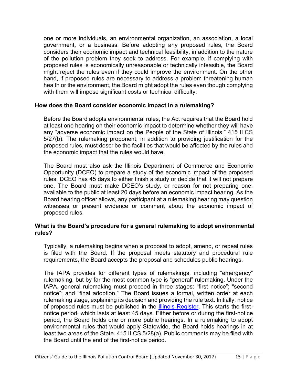one or more individuals, an environmental organization, an association, a local government, or a business. Before adopting any proposed rules, the Board considers their economic impact and technical feasibility, in addition to the nature of the pollution problem they seek to address. For example, if complying with proposed rules is economically unreasonable or technically infeasible, the Board might reject the rules even if they could improve the environment. On the other hand, if proposed rules are necessary to address a problem threatening human health or the environment, the Board might adopt the rules even though complying with them will impose significant costs or technical difficulty.

#### <span id="page-17-0"></span>**How does the Board consider economic impact in a rulemaking?**

Before the Board adopts environmental rules, the Act requires that the Board hold at least one hearing on their economic impact to determine whether they will have any "adverse economic impact on the People of the State of Illinois." 415 ILCS 5/27(b). The rulemaking proponent, in addition to providing justification for the proposed rules, must describe the facilities that would be affected by the rules and the economic impact that the rules would have.

The Board must also ask the Illinois Department of Commerce and Economic Opportunity (DCEO) to prepare a study of the economic impact of the proposed rules. DCEO has 45 days to either finish a study or decide that it will not prepare one. The Board must make DCEO's study, or reason for not preparing one, available to the public at least 20 days before an economic impact hearing. As the Board hearing officer allows, any participant at a rulemaking hearing may question witnesses or present evidence or comment about the economic impact of proposed rules.

#### <span id="page-17-1"></span>**What is the Board's procedure for a general rulemaking to adopt environmental rules?**

Typically, a rulemaking begins when a proposal to adopt, amend, or repeal rules is filed with the Board. If the proposal meets statutory and procedural rule requirements, the Board accepts the proposal and schedules public hearings.

The IAPA provides for different types of rulemakings, including "emergency" rulemaking, but by far the most common type is "general" rulemaking. Under the IAPA, general rulemaking must proceed in three stages: "first notice"; "second notice"; and "final adoption." The Board issues a formal, written order at each rulemaking stage, explaining its decision and providing the rule text. Initially, notice of proposed rules must be published in the *Illinois Register*. This starts the firstnotice period, which lasts at least 45 days. Either before or during the first-notice period, the Board holds one or more public hearings. In a rulemaking to adopt environmental rules that would apply Statewide, the Board holds hearings in at least two areas of the State. 415 ILCS 5/28(a). Public comments may be filed with the Board until the end of the first-notice period.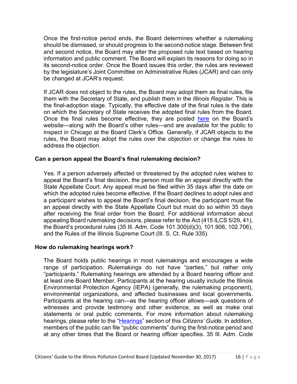Once the first-notice period ends, the Board determines whether a rulemaking should be dismissed, or should progress to the second-notice stage. Between first and second notice, the Board may alter the proposed rule text based on hearing information and public comment. The Board will explain its reasons for doing so in its second-notice order. Once the Board issues this order, the rules are reviewed by the legislature's Joint Committee on Administrative Rules (JCAR) and can only be changed at JCAR's request.

If JCAR does not object to the rules, the Board may adopt them as final rules, file them with the Secretary of State, and publish them in the *Illinois Register*. This is the final-adoption stage. Typically, the effective date of the final rules is the date on which the Secretary of State receives the adopted final rules from the Board. Once the final rules become effective, they are posted [here](https://pcb.illinois.gov/SLR/IPCBandIEPAEnvironmentalRegulationsTitle35) on the Board's website—along with the Board's other rules—and are available for the public to inspect in Chicago at the Board Clerk's Office. Generally, if JCAR objects to the rules, the Board may adopt the rules over the objection or change the rules to address the objection.

# **Can a person appeal the Board's final rulemaking decision?**

Yes. If a person adversely affected or threatened by the adopted rules wishes to appeal the Board's final decision, the person must file an appeal directly with the State Appellate Court. Any appeal must be filed within 35 days after the date on which the adopted rules become effective. If the Board declines to adopt rules and a participant wishes to appeal the Board's final decision, the participant must file an appeal directly with the State Appellate Court but must do so within 35 days after receiving the final order from the Board. For additional information about appealing Board rulemaking decisions, please refer to the Act (415 ILCS 5/29, 41), the Board's procedural rules (35 Ill. Adm. Code 101.300(d)(3), 101.906, 102.706), and the Rules of the Illinois Supreme Court (Ill. S. Ct. Rule 335).

#### <span id="page-18-0"></span>**How do rulemaking hearings work?**

The Board holds public hearings in most rulemakings and encourages a wide range of participation. Rulemakings do not have "parties," but rather only "participants." Rulemaking hearings are attended by a Board hearing officer and at least one Board Member. Participants at the hearing usually include the Illinois Environmental Protection Agency (IEPA) (generally, the rulemaking proponent), environmental organizations, and affected businesses and local governments. Participants at the hearing can—as the hearing officer allows—ask questions of witnesses and provide testimony and other evidence, as well as make oral statements or oral public comments. For more information about rulemaking hearings, please refer to the ["Hearings"](#page-11-4) section of this *Citizens' Guide*. In addition, members of the public can file "public comments" during the first-notice period and at any other times that the Board or hearing officer specifies. 35 Ill. Adm. Code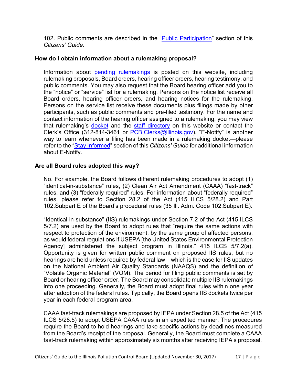102. Public comments are described in the "*Public Participation*" section of this *Citizens' Guide*.

# <span id="page-19-0"></span>**How do I obtain information about a rulemaking proposal?**

Information about [pending rulemakings](https://pcb.illinois.gov/ClerksOffice/PendingRulemakings) is posted on this website, including rulemaking proposals, Board orders, hearing officer orders, hearing testimony, and public comments. You may also request that the Board hearing officer add you to the "notice" or "service" list for a rulemaking. Persons on the notice list receive all Board orders, hearing officer orders, and hearing notices for the rulemaking. Persons on the service list receive these documents plus filings made by other participants, such as public comments and pre-filed testimony. For the name and contact information of the hearing officer assigned to a rulemaking, you may view that rulemaking's [docket](https://pcb.illinois.gov/ClerksOffice/SearchCases) and the [staff directory](https://pcb.illinois.gov/AboutIPCB/StaffDirectory) on this website or contact the Clerk's Office (312-814-3461 or [PCB.Clerks@illinois.gov\)](mailto:PCB.Clerks@illinois.gov). "E-Notify" is another way to learn whenever a filing has been made in a rulemaking docket—please refer to the ["Stay Informed"](#page-21-2) section of this *Citizens' Guide* for additional information about E-Notify.

# <span id="page-19-1"></span>**Are all Board rules adopted this way?**

No. For example, the Board follows different rulemaking procedures to adopt (1) "identical-in-substance" rules, (2) Clean Air Act Amendment (CAAA) "fast-track" rules, and (3) "federally required" rules. For information about "federally required" rules, please refer to Section 28.2 of the Act (415 ILCS 5/28.2) and Part 102.Subpart E of the Board's procedural rules (35 Ill. Adm. Code 102.Subpart E).

"Identical-in-substance" (IIS) rulemakings under Section 7.2 of the Act (415 ILCS 5/7.2) are used by the Board to adopt rules that "require the same actions with respect to protection of the environment, by the same group of affected persons, as would federal regulations if USEPA [the United States Environmental Protection Agency] administered the subject program in Illinois." 415 ILCS 5/7.2(a). Opportunity is given for written public comment on proposed IIS rules, but no hearings are held unless required by federal law—which is the case for IIS updates on the National Ambient Air Quality Standards (NAAQS) and the definition of "Volatile Organic Material" (VOM). The period for filing public comments is set by Board or hearing officer order. The Board may consolidate multiple IIS rulemakings into one proceeding. Generally, the Board must adopt final rules within one year after adoption of the federal rules. Typically, the Board opens IIS dockets twice per year in each federal program area.

CAAA fast-track rulemakings are proposed by IEPA under Section 28.5 of the Act (415 ILCS 5/28.5) to adopt USEPA CAAA rules in an expedited manner. The procedures require the Board to hold hearings and take specific actions by deadlines measured from the Board's receipt of the proposal. Generally, the Board must complete a CAAA fast-track rulemaking within approximately six months after receiving IEPA's proposal.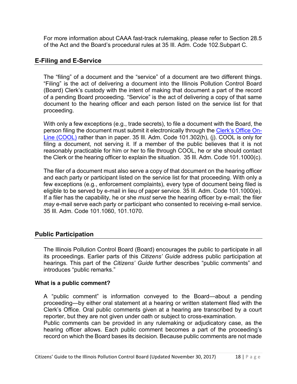For more information about CAAA fast-track rulemaking, please refer to Section 28.5 of the Act and the Board's procedural rules at 35 Ill. Adm. Code 102.Subpart C.

# <span id="page-20-0"></span>**E-Filing and E-Service**

The "filing" of a document and the "service" of a document are two different things. "Filing" is the act of delivering a document into the Illinois Pollution Control Board (Board) Clerk's custody with the intent of making that document a part of the record of a pending Board proceeding. "Service" is the act of delivering a copy of that same document to the hearing officer and each person listed on the service list for that proceeding.

With only a few exceptions (e.g., trade secrets), to file a document with the Board, the person filing the document must submit it electronically through the [Clerk's Office On-](https://pcb.illinois.gov/TruePassSample/AuthenticateUserRoamingEPF.html)[Line \(COOL\)](https://pcb.illinois.gov/TruePassSample/AuthenticateUserRoamingEPF.html) rather than in paper. 35 Ill. Adm. Code 101.302(h), (j). COOL is only for filing a document, not serving it. If a member of the public believes that it is not reasonably practicable for him or her to file through COOL, he or she should contact the Clerk or the hearing officer to explain the situation. 35 Ill. Adm. Code 101.1000(c).

The filer of a document must also serve a copy of that document on the hearing officer and each party or participant listed on the service list for that proceeding. With only a few exceptions (e.g., enforcement complaints), every type of document being filed is eligible to be served by e-mail in lieu of paper service. 35 Ill. Adm. Code 101.1000(e). If a filer has the capability, he or she *must* serve the hearing officer by e-mail; the filer *may* e-mail serve each party or participant who consented to receiving e-mail service. 35 Ill. Adm. Code 101.1060, 101.1070.

# <span id="page-20-1"></span>**Public Participation**

The Illinois Pollution Control Board (Board) encourages the public to participate in all its proceedings. Earlier parts of this *Citizens' Guide* address public participation at hearings. This part of the *Citizens' Guide* further describes "public comments" and introduces "public remarks."

#### <span id="page-20-2"></span>**What is a public comment?**

A "public comment" is information conveyed to the Board—about a pending proceeding—by either oral statement at a hearing or written statement filed with the Clerk's Office. Oral public comments given at a hearing are transcribed by a court reporter, but they are not given under oath or subject to cross-examination.

Public comments can be provided in any rulemaking or adjudicatory case, as the hearing officer allows. Each public comment becomes a part of the proceeding's record on which the Board bases its decision. Because public comments are not made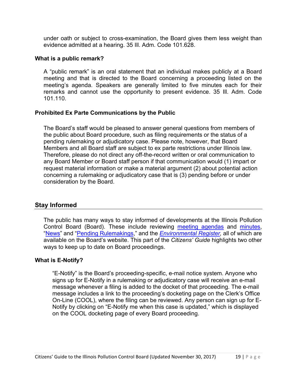under oath or subject to cross-examination, the Board gives them less weight than evidence admitted at a hearing. 35 Ill. Adm. Code 101.628.

#### <span id="page-21-0"></span>**What is a public remark?**

A "public remark" is an oral statement that an individual makes publicly at a Board meeting and that is directed to the Board concerning a proceeding listed on the meeting's agenda. Speakers are generally limited to five minutes each for their remarks and cannot use the opportunity to present evidence. 35 Ill. Adm. Code 101.110.

#### <span id="page-21-1"></span>**Prohibited Ex Parte Communications by the Public**

The Board's staff would be pleased to answer general questions from members of the public about Board procedure, such as filing requirements or the status of a pending rulemaking or adjudicatory case. Please note, however, that Board Members and all Board staff are subject to ex parte restrictions under Illinois law. Therefore, please do not direct any off-the-record written or oral communication to any Board Member or Board staff person if that communication would (1) impart or request material information or make a material argument (2) about potential action concerning a rulemaking or adjudicatory case that is (3) pending before or under consideration by the Board.

#### <span id="page-21-2"></span>**Stay Informed**

The public has many ways to stay informed of developments at the Illinois Pollution Control Board (Board). These include reviewing [meeting agendas](https://pcb.illinois.gov/CurrentAgendas) and [minutes,](https://pcb.illinois.gov/ClerksOffice/MeetingMinutes) ["News"](https://pcb.illinois.gov/Resources/News) and ["Pending Rulemakings,](https://pcb.illinois.gov/ClerksOffice/PendingRulemakings)" and the *[Environmental Register,](https://pcb.illinois.gov/Resources/EnvironmentalRegister)* all of which are available on the Board's website. This part of the *Citizens' Guide* highlights two other ways to keep up to date on Board proceedings.

#### <span id="page-21-3"></span>**What is E-Notify?**

"E-Notify" is the Board's proceeding-specific, e-mail notice system. Anyone who signs up for E-Notify in a rulemaking or adjudicatory case will receive an e-mail message whenever a filing is added to the docket of that proceeding. The e-mail message includes a link to the proceeding's docketing page on the Clerk's Office On-Line (COOL), where the filing can be reviewed. Any person can sign up for E-Notify by clicking on "E-Notify me when this case is updated," which is displayed on the COOL docketing page of every Board proceeding.